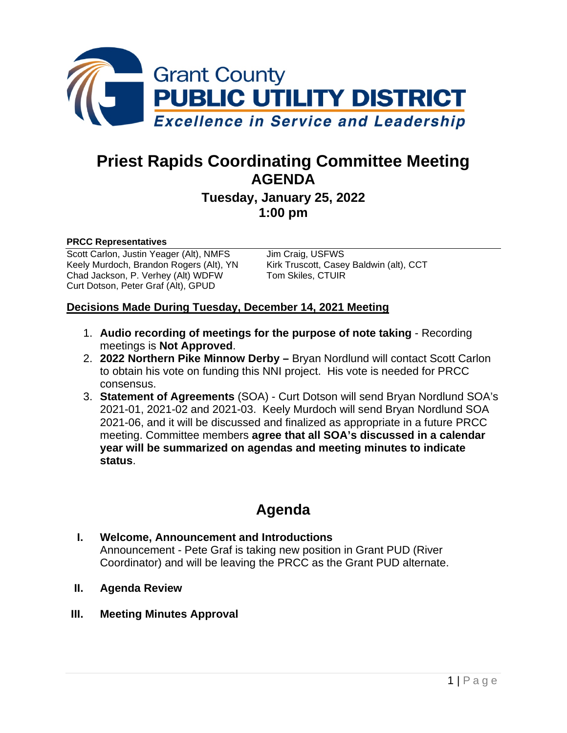

# **Priest Rapids Coordinating Committee Meeting AGENDA**

## **Tuesday, January 25, 2022 1:00 pm**

#### **PRCC Representatives**

Scott Carlon, Justin Yeager (Alt), NMFS Jim Craig, USFWS<br>
Keely Murdoch, Brandon Rogers (Alt), YN Kirk Truscott, Casey Baldwin (alt), CCT Keely Murdoch, Brandon Rogers (Alt), YN Kirk Truscott, Casey<br>Chad Jackson, P. Verhey (Alt) WDFW Tom Skiles, CTUIR Chad Jackson, P. Verhey (Alt) WDFW Curt Dotson, Peter Graf (Alt), GPUD

#### **Decisions Made During Tuesday, December 14, 2021 Meeting**

- 1. **Audio recording of meetings for the purpose of note taking** Recording meetings is **Not Approved**.
- 2. **2022 Northern Pike Minnow Derby –** Bryan Nordlund will contact Scott Carlon to obtain his vote on funding this NNI project. His vote is needed for PRCC consensus.
- 3. **Statement of Agreements** (SOA) Curt Dotson will send Bryan Nordlund SOA's 2021-01, 2021-02 and 2021-03. Keely Murdoch will send Bryan Nordlund SOA 2021-06, and it will be discussed and finalized as appropriate in a future PRCC meeting. Committee members **agree that all SOA's discussed in a calendar year will be summarized on agendas and meeting minutes to indicate status**.

# **Agenda**

#### **I. Welcome, Announcement and Introductions** Announcement - Pete Graf is taking new position in Grant PUD (River Coordinator) and will be leaving the PRCC as the Grant PUD alternate.

- **II. Agenda Review**
- **III. Meeting Minutes Approval**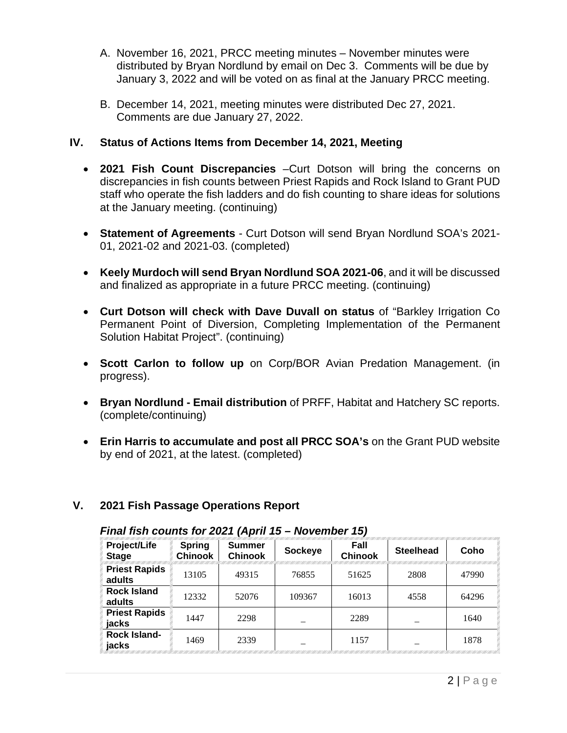- A. November 16, 2021, PRCC meeting minutes November minutes were distributed by Bryan Nordlund by email on Dec 3. Comments will be due by January 3, 2022 and will be voted on as final at the January PRCC meeting.
- B. December 14, 2021, meeting minutes were distributed Dec 27, 2021. Comments are due January 27, 2022.

#### **IV. Status of Actions Items from December 14, 2021, Meeting**

- **2021 Fish Count Discrepancies** –Curt Dotson will bring the concerns on discrepancies in fish counts between Priest Rapids and Rock Island to Grant PUD staff who operate the fish ladders and do fish counting to share ideas for solutions at the January meeting. (continuing)
- **Statement of Agreements** Curt Dotson will send Bryan Nordlund SOA's 2021- 01, 2021-02 and 2021-03. (completed)
- **Keely Murdoch will send Bryan Nordlund SOA 2021-06**, and it will be discussed and finalized as appropriate in a future PRCC meeting. (continuing)
- **Curt Dotson will check with Dave Duvall on status** of "Barkley Irrigation Co Permanent Point of Diversion, Completing Implementation of the Permanent Solution Habitat Project". (continuing)
- **Scott Carlon to follow up** on Corp/BOR Avian Predation Management. (in progress).
- **Bryan Nordlund - Email distribution** of PRFF, Habitat and Hatchery SC reports. (complete/continuing)
- **Erin Harris to accumulate and post all PRCC SOA's** on the Grant PUD website by end of 2021, at the latest. (completed)

### **V. 2021 Fish Passage Operations Report**

| .                                   |                                 |                                 |         |                        |                  |       |  |
|-------------------------------------|---------------------------------|---------------------------------|---------|------------------------|------------------|-------|--|
| <b>Project/Life</b><br><b>Stage</b> | <b>Spring</b><br><b>Chinook</b> | <b>Summer</b><br><b>Chinook</b> | Sockeye | Fall<br><b>Chinook</b> | <b>Steelhead</b> | Coho  |  |
| <b>Priest Rapids</b><br>adults      | 13105                           | 49315                           | 76855   | 51625                  | 2808             | 47990 |  |
| <b>Rock Island</b><br>adults        | 12332                           | 52076                           | 109367  | 16013                  | 4558             | 64296 |  |
| <b>Priest Rapids</b><br>jacks       | 1447                            | 2298                            |         | 2289                   |                  | 1640  |  |
| <b>Rock Island-</b><br>jacks        | 1469                            | 2339                            |         | 1157                   |                  | 1878  |  |

#### *Final fish counts for 2021 (April 15 – November 15)*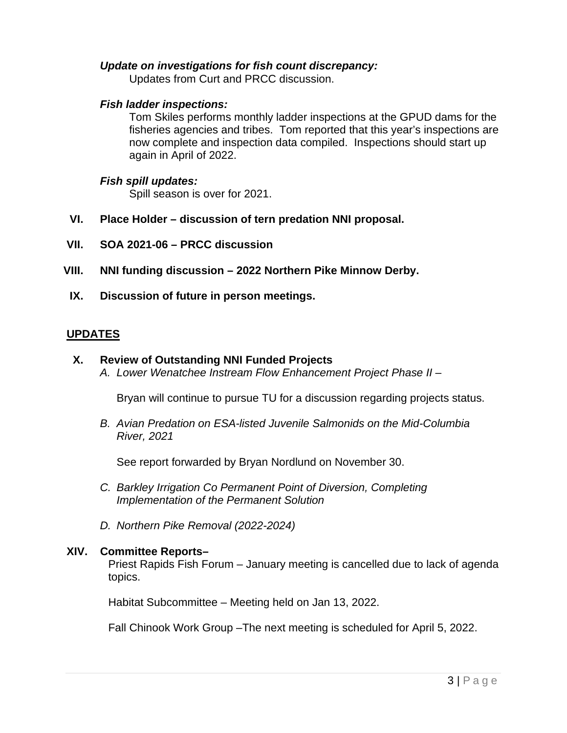#### *Update on investigations for fish count discrepancy:*

Updates from Curt and PRCC discussion.

#### *Fish ladder inspections:*

Tom Skiles performs monthly ladder inspections at the GPUD dams for the fisheries agencies and tribes. Tom reported that this year's inspections are now complete and inspection data compiled. Inspections should start up again in April of 2022.

#### *Fish spill updates:*

Spill season is over for 2021.

- **VI. Place Holder – discussion of tern predation NNI proposal.**
- **VII. SOA 2021-06 – PRCC discussion**
- **VIII. NNI funding discussion – 2022 Northern Pike Minnow Derby.**
- **IX. Discussion of future in person meetings.**

#### **UPDATES**

#### **X. Review of Outstanding NNI Funded Projects**

*A. Lower Wenatchee Instream Flow Enhancement Project Phase II* –

Bryan will continue to pursue TU for a discussion regarding projects status.

*B. Avian Predation on ESA-listed Juvenile Salmonids on the Mid-Columbia River, 2021*

See report forwarded by Bryan Nordlund on November 30.

- *C. Barkley Irrigation Co Permanent Point of Diversion, Completing Implementation of the Permanent Solution*
- *D. Northern Pike Removal (2022-2024)*

#### **XIV. Committee Reports–**

Priest Rapids Fish Forum – January meeting is cancelled due to lack of agenda topics.

Habitat Subcommittee – Meeting held on Jan 13, 2022.

Fall Chinook Work Group –The next meeting is scheduled for April 5, 2022.